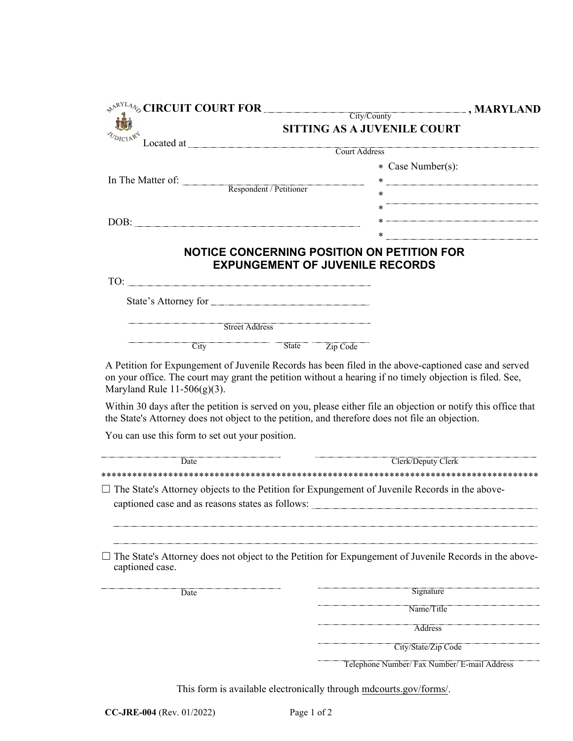| $\leftrightarrow^{\mathbb{R}^{NLL}4}\circ$ CIRCUIT COURT FOR City/County                                                                           | $\blacksquare$ , MARYLAND                                                                                                                                                                                              |
|----------------------------------------------------------------------------------------------------------------------------------------------------|------------------------------------------------------------------------------------------------------------------------------------------------------------------------------------------------------------------------|
|                                                                                                                                                    | <b>SITTING AS A JUVENILE COURT</b>                                                                                                                                                                                     |
| Located at <u>Court Address</u>                                                                                                                    |                                                                                                                                                                                                                        |
|                                                                                                                                                    |                                                                                                                                                                                                                        |
|                                                                                                                                                    | * Case Number(s):                                                                                                                                                                                                      |
| In The Matter of: <u>Respondent / Petitioner</u>                                                                                                   |                                                                                                                                                                                                                        |
|                                                                                                                                                    |                                                                                                                                                                                                                        |
|                                                                                                                                                    |                                                                                                                                                                                                                        |
|                                                                                                                                                    |                                                                                                                                                                                                                        |
|                                                                                                                                                    |                                                                                                                                                                                                                        |
|                                                                                                                                                    | NOTICE CONCERNING POSITION ON PETITION FOR<br><b>EXPUNGEMENT OF JUVENILE RECORDS</b>                                                                                                                                   |
|                                                                                                                                                    |                                                                                                                                                                                                                        |
| State's Attorney for                                                                                                                               |                                                                                                                                                                                                                        |
| <b>Street Address</b>                                                                                                                              |                                                                                                                                                                                                                        |
| City                                                                                                                                               | State Zip Code                                                                                                                                                                                                         |
| on your office. The court may grant the petition without a hearing if no timely objection is filed. See,<br>Maryland Rule $11-506(g)(3)$ .         | A Petition for Expungement of Juvenile Records has been filed in the above-captioned case and served<br>Within 30 days after the petition is served on you, please either file an objection or notify this office that |
| the State's Attorney does not object to the petition, and therefore does not file an objection.<br>You can use this form to set out your position. |                                                                                                                                                                                                                        |
|                                                                                                                                                    |                                                                                                                                                                                                                        |
| Date                                                                                                                                               | Clerk/Deputy Clerk                                                                                                                                                                                                     |
|                                                                                                                                                    |                                                                                                                                                                                                                        |
| $\Box$ The State's Attorney objects to the Petition for Expungement of Juvenile Records in the above-                                              |                                                                                                                                                                                                                        |
|                                                                                                                                                    |                                                                                                                                                                                                                        |
|                                                                                                                                                    |                                                                                                                                                                                                                        |
| captioned case.                                                                                                                                    | The State's Attorney does not object to the Petition for Expungement of Juvenile Records in the above-                                                                                                                 |
| Date                                                                                                                                               | Signature                                                                                                                                                                                                              |
|                                                                                                                                                    | Name/Title                                                                                                                                                                                                             |
|                                                                                                                                                    | Address                                                                                                                                                                                                                |
|                                                                                                                                                    | City/State/Zip Code                                                                                                                                                                                                    |
|                                                                                                                                                    | Telephone Number/ Fax Number/ E-mail Address                                                                                                                                                                           |
|                                                                                                                                                    |                                                                                                                                                                                                                        |